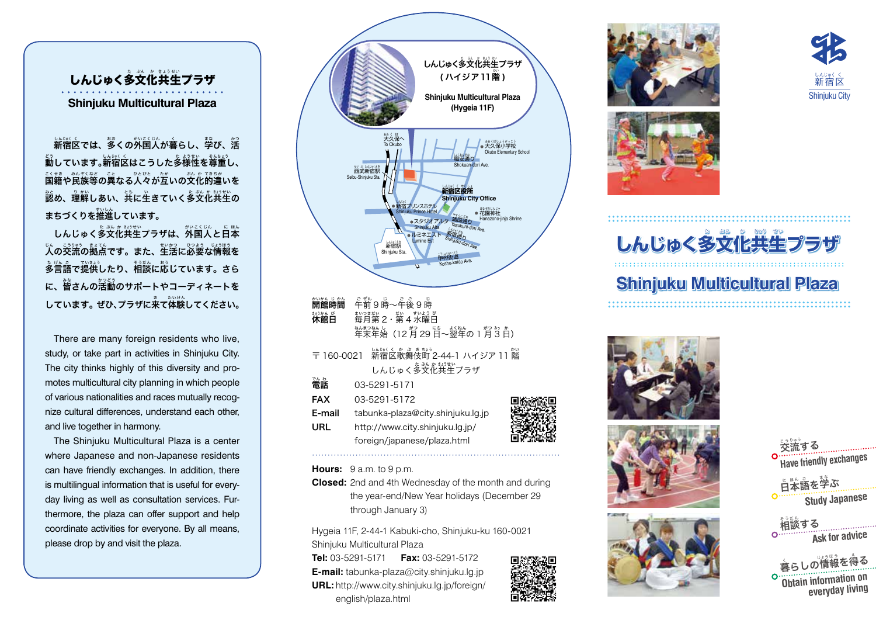しんじゅく多文化共生プラザ **Shinjuku Multicultural Plaza**

新宿区では、多くの外国人が暮らし、**学び、活** <sub>。</sub><br>動しています。新宿区はこうした多様性を尊重し、  $\mathbb{E}$ 籍や民族等の異なる人々が互いの文化的違いを <u>。</u><br>認め、理解しあい、共に生きていく多文化共生の まちづくりを推進しています。

しんじゅく多文化共生プラザは、外国人と日本  $\chi$ の交流の拠点です。また、生活に必要な情報を 多 た 言 げん 語 ご で提 てい 供 きょう したり、相 そう 談 だん に応 おう じています。さら に、。。<br>に、皆さんの活動のサポートやコーディネート**を** しています。 ぜひ、プラザに来て体験してください。

There are many foreign residents who live, study, or take part in activities in Shinjuku City. The city thinks highly of this diversity and promotes multicultural city planning in which people of various nationalities and races mutually recognize cultural differences, understand each other, and live together in harmony.

The Shinjuku Multicultural Plaza is a center where Japanese and non-Japanese residents can have friendly exchanges. In addition, there is multilingual information that is useful for everyday living as well as consultation services. Furthermore, the plaza can offer support and help coordinate activities for everyone. By all means, please drop by and visit the plaza.



**Hours:** 9 a.m. to 9 p.m.

**Closed:** 2nd and 4th Wednesday of the month and during the year-end/New Year holidays (December 29 through January 3)

Hygeia 11F, 2-44-1 Kabuki-cho, Shinjuku-ku 160-0021 Shinjuku Multicultural Plaza **Tel:** 03-5291-5171 **Fax:** 03-5291-5172 **E-mail:** tabunka-plaza@city.shinjuku.lg.jp **URL:** http://www.city.shinjuku.lg.jp/foreign/ english/plaza.html







## しんじゅく多文化共生 **プラザ**

# **Shinjuku Multicultural Plaza**









稿談する **Ask for advice**

暮 く らしの情 じょう 報 ほ う を得 え る **Obtain information on everyday living**